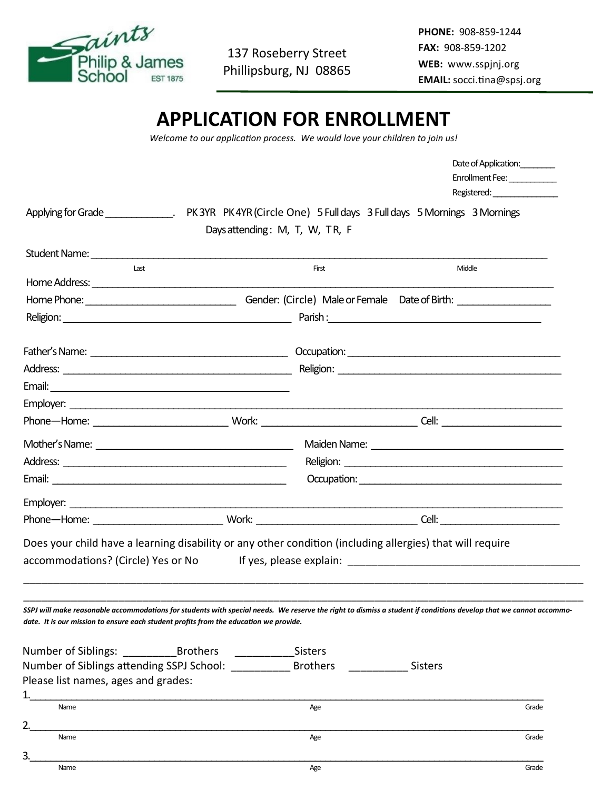

137 Roseberry Street Phillipsburg, NJ 08865 **PHONE:** 908-859-1244 **FAX:** 908-859-1202 **WEB:** www.sspjnj.org **EMAIL:** socci.tina@spsj.org

## **APPLICATION FOR ENROLLMENT**

*Welcome to our application process. We would love your children to join us!*

|                                                                                                                                                                                                                                                            |                                |                                                                                                                                                                                                                                     | Date of Application:<br>Enrollment Fee: |
|------------------------------------------------------------------------------------------------------------------------------------------------------------------------------------------------------------------------------------------------------------|--------------------------------|-------------------------------------------------------------------------------------------------------------------------------------------------------------------------------------------------------------------------------------|-----------------------------------------|
|                                                                                                                                                                                                                                                            | Days attending: M, T, W, TR, F |                                                                                                                                                                                                                                     |                                         |
|                                                                                                                                                                                                                                                            |                                |                                                                                                                                                                                                                                     |                                         |
| Last                                                                                                                                                                                                                                                       | First                          | Middle                                                                                                                                                                                                                              |                                         |
|                                                                                                                                                                                                                                                            |                                |                                                                                                                                                                                                                                     |                                         |
|                                                                                                                                                                                                                                                            |                                |                                                                                                                                                                                                                                     |                                         |
|                                                                                                                                                                                                                                                            |                                |                                                                                                                                                                                                                                     |                                         |
|                                                                                                                                                                                                                                                            |                                |                                                                                                                                                                                                                                     |                                         |
|                                                                                                                                                                                                                                                            |                                |                                                                                                                                                                                                                                     |                                         |
|                                                                                                                                                                                                                                                            |                                |                                                                                                                                                                                                                                     |                                         |
|                                                                                                                                                                                                                                                            |                                |                                                                                                                                                                                                                                     |                                         |
|                                                                                                                                                                                                                                                            |                                |                                                                                                                                                                                                                                     |                                         |
|                                                                                                                                                                                                                                                            |                                |                                                                                                                                                                                                                                     |                                         |
|                                                                                                                                                                                                                                                            |                                |                                                                                                                                                                                                                                     |                                         |
|                                                                                                                                                                                                                                                            |                                | <b>Occupation:</b> Designation of the state of the state of the state of the state of the state of the state of the state of the state of the state of the state of the state of the state of the state of the state of the state o |                                         |
|                                                                                                                                                                                                                                                            |                                |                                                                                                                                                                                                                                     |                                         |
|                                                                                                                                                                                                                                                            |                                |                                                                                                                                                                                                                                     |                                         |
| Does your child have a learning disability or any other condition (including allergies) that will require                                                                                                                                                  |                                |                                                                                                                                                                                                                                     |                                         |
| accommodations? (Circle) Yes or No                                                                                                                                                                                                                         |                                |                                                                                                                                                                                                                                     |                                         |
|                                                                                                                                                                                                                                                            |                                |                                                                                                                                                                                                                                     |                                         |
| SSPJ will make reasonable accommodations for students with special needs. We reserve the right to dismiss a student if conditions develop that we cannot accommo-<br>date. It is our mission to ensure each student profits from the education we provide. |                                |                                                                                                                                                                                                                                     |                                         |
|                                                                                                                                                                                                                                                            | Sisters                        |                                                                                                                                                                                                                                     |                                         |
| Number of Siblings attending SSPJ School:                                                                                                                                                                                                                  | <b>Brothers</b>                | Sisters                                                                                                                                                                                                                             |                                         |
| Please list names, ages and grades:                                                                                                                                                                                                                        |                                |                                                                                                                                                                                                                                     |                                         |
| Name                                                                                                                                                                                                                                                       | Age                            |                                                                                                                                                                                                                                     | Grade                                   |
| 2.                                                                                                                                                                                                                                                         |                                |                                                                                                                                                                                                                                     |                                         |
| Name                                                                                                                                                                                                                                                       | Age                            |                                                                                                                                                                                                                                     | Grade                                   |
| 3.                                                                                                                                                                                                                                                         |                                |                                                                                                                                                                                                                                     |                                         |
| Name                                                                                                                                                                                                                                                       | Age                            |                                                                                                                                                                                                                                     | Grade                                   |